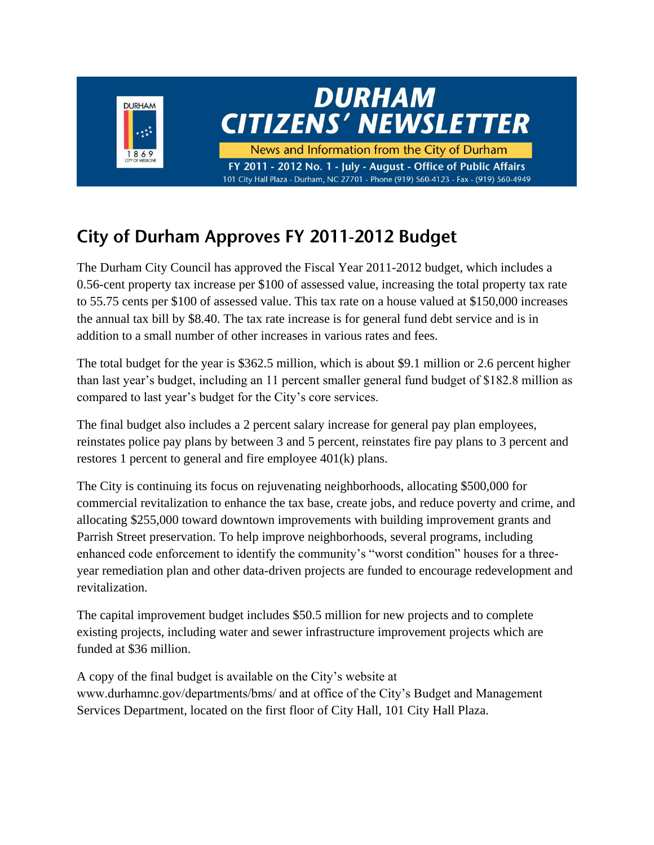

#### City of Durham Approves FY 2011-2012 Budget

The Durham City Council has approved the Fiscal Year 2011-2012 budget, which includes a 0.56-cent property tax increase per \$100 of assessed value, increasing the total property tax rate to 55.75 cents per \$100 of assessed value. This tax rate on a house valued at \$150,000 increases the annual tax bill by \$8.40. The tax rate increase is for general fund debt service and is in addition to a small number of other increases in various rates and fees.

The total budget for the year is \$362.5 million, which is about \$9.1 million or 2.6 percent higher than last year's budget, including an 11 percent smaller general fund budget of \$182.8 million as compared to last year's budget for the City's core services.

The final budget also includes a 2 percent salary increase for general pay plan employees, reinstates police pay plans by between 3 and 5 percent, reinstates fire pay plans to 3 percent and restores 1 percent to general and fire employee 401(k) plans.

The City is continuing its focus on rejuvenating neighborhoods, allocating \$500,000 for commercial revitalization to enhance the tax base, create jobs, and reduce poverty and crime, and allocating \$255,000 toward downtown improvements with building improvement grants and Parrish Street preservation. To help improve neighborhoods, several programs, including enhanced code enforcement to identify the community's "worst condition" houses for a threeyear remediation plan and other data-driven projects are funded to encourage redevelopment and revitalization.

The capital improvement budget includes \$50.5 million for new projects and to complete existing projects, including water and sewer infrastructure improvement projects which are funded at \$36 million.

A copy of the final budget is available on the City's website at www.durhamnc.gov/departments/bms/ and at office of the City's Budget and Management Services Department, located on the first floor of City Hall, 101 City Hall Plaza.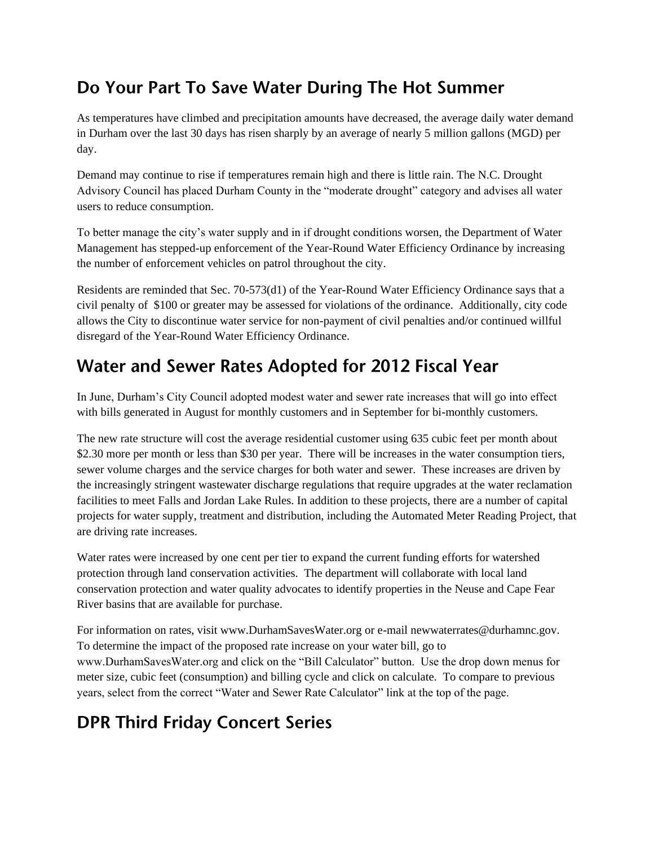#### Do Your Part To Save Water During The Hot Summer

As temperatures have climbed and precipitation amounts have decreased, the average daily water demand in Durham over the last 30 days has risen sharply by an average of nearly 5 million gallons (MGD) per day.

Demand may continue to rise if temperatures remain high and there is little rain. The N.C. Drought Advisory Council has placed Durham County in the "moderate drought" category and advises all water users to reduce consumption.

To better manage the city's water supply and in if drought conditions worsen, the Department of Water Management has stepped-up enforcement of the Year-Round Water Efficiency Ordinance by increasing the number of enforcement vehicles on patrol throughout the city.

Residents are reminded that Sec. 70-573(d1) of the Year-Round Water Efficiency Ordinance says that a civil penalty of \$100 or greater may be assessed for violations of the ordinance. Additionally, city code allows the City to discontinue water service for non-payment of civil penalties and/or continued willful disregard of the Year-Round Water Efficiency Ordinance.

#### Water and Sewer Rates Adopted for 2012 Fiscal Year

In June, Durham's City Council adopted modest water and sewer rate increases that will go into effect with bills generated in August for monthly customers and in September for bi-monthly customers.

The new rate structure will cost the average residential customer using 635 cubic feet per month about \$2.30 more per month or less than \$30 per year. There will be increases in the water consumption tiers, sewer volume charges and the service charges for both water and sewer. These increases are driven by the increasingly stringent wastewater discharge regulations that require upgrades at the water reclamation facilities to meet Falls and Jordan Lake Rules. In addition to these projects, there are a number of capital projects for water supply, treatment and distribution, including the Automated Meter Reading Project, that are driving rate increases.

Water rates were increased by one cent per tier to expand the current funding efforts for watershed protection through land conservation activities. The department will collaborate with local land conservation protection and water quality advocates to identify properties in the Neuse and Cape Fear River basins that are available for purchase.

For information on rates, visit www.DurhamSavesWater.org or e-mail newwaterrates@durhamnc.gov. To determine the impact of the proposed rate increase on your water bill, go to www.DurhamSavesWater.org and click on the "Bill Calculator" button. Use the drop down menus for meter size, cubic feet (consumption) and billing cycle and click on calculate. To compare to previous years, select from the correct "Water and Sewer Rate Calculator" link at the top of the page.

# **DPR Third Friday Concert Series**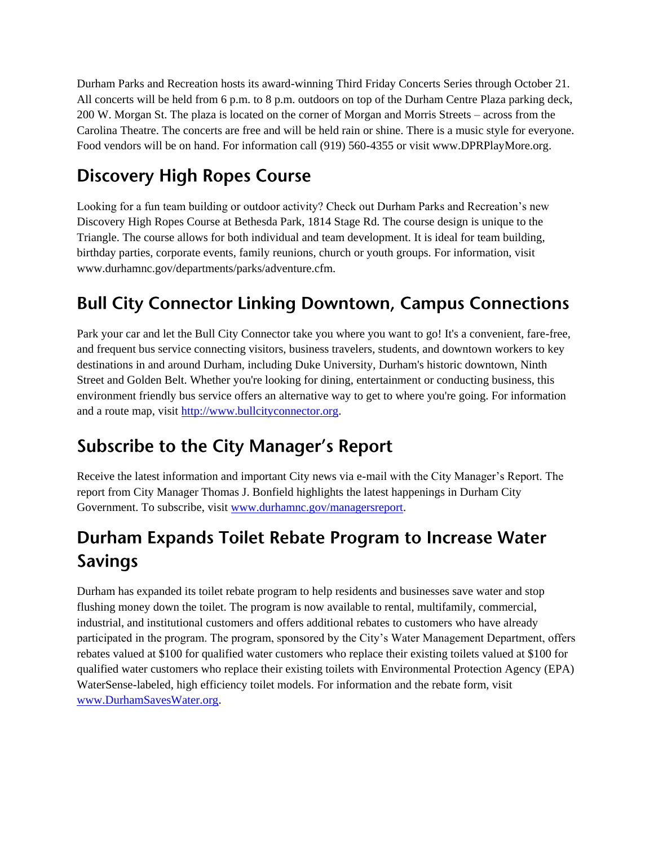Durham Parks and Recreation hosts its award-winning Third Friday Concerts Series through October 21. All concerts will be held from 6 p.m. to 8 p.m. outdoors on top of the Durham Centre Plaza parking deck, 200 W. Morgan St. The plaza is located on the corner of Morgan and Morris Streets – across from the Carolina Theatre. The concerts are free and will be held rain or shine. There is a music style for everyone. Food vendors will be on hand. For information call (919) 560-4355 or visit www.DPRPlayMore.org.

# **Discovery High Ropes Course**

Looking for a fun team building or outdoor activity? Check out Durham Parks and Recreation's new Discovery High Ropes Course at Bethesda Park, 1814 Stage Rd. The course design is unique to the Triangle. The course allows for both individual and team development. It is ideal for team building, birthday parties, corporate events, family reunions, church or youth groups. For information, visit www.durhamnc.gov/departments/parks/adventure.cfm.

# **Bull City Connector Linking Downtown, Campus Connections**

Park your car and let the Bull City Connector take you where you want to go! It's a convenient, fare-free, and frequent bus service connecting visitors, business travelers, students, and downtown workers to key destinations in and around Durham, including Duke University, Durham's historic downtown, Ninth Street and Golden Belt. Whether you're looking for dining, entertainment or conducting business, this environment friendly bus service offers an alternative way to get to where you're going. For information and a route map, visit [http://www.bullcityconnector.org.](http://www.bullcityconnector.org/)

# **Subscribe to the City Manager's Report**

Receive the latest information and important City news via e-mail with the City Manager's Report. The report from City Manager Thomas J. Bonfield highlights the latest happenings in Durham City Government. To subscribe, visit [www.durhamnc.gov/managersreport.](http://www.durhamnc.gov/managersreport)

# Durham Expands Toilet Rebate Program to Increase Water **Savings**

Durham has expanded its toilet rebate program to help residents and businesses save water and stop flushing money down the toilet. The program is now available to rental, multifamily, commercial, industrial, and institutional customers and offers additional rebates to customers who have already participated in the program. The program, sponsored by the City's Water Management Department, offers rebates valued at \$100 for qualified water customers who replace their existing toilets valued at \$100 for qualified water customers who replace their existing toilets with Environmental Protection Agency (EPA) WaterSense-labeled, high efficiency toilet models. For information and the rebate form, visit [www.DurhamSavesWater.org.](http://www.durhamsaveswater.org/)